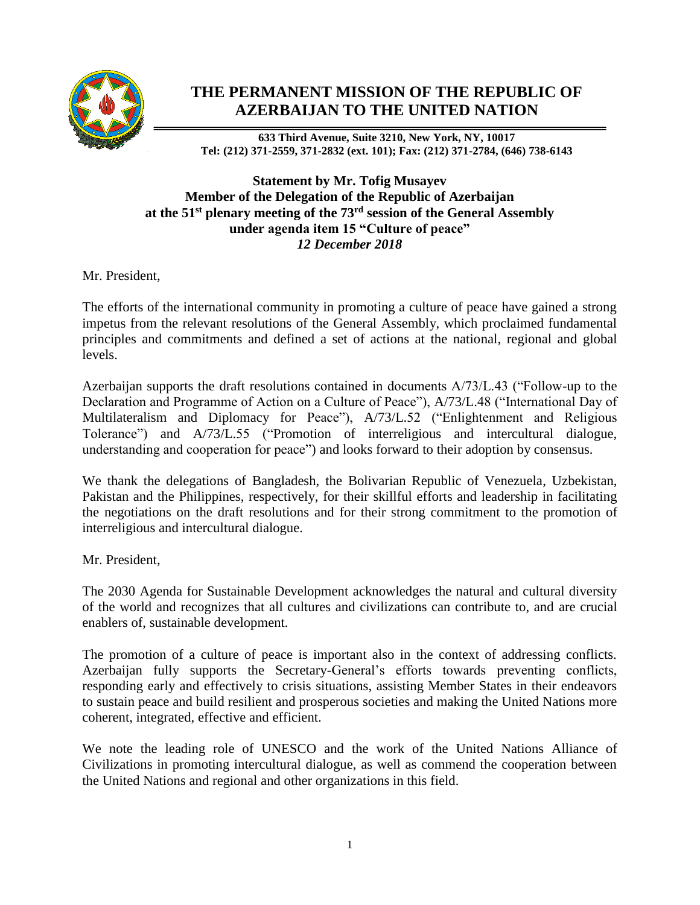

## **THE PERMANENT MISSION OF THE REPUBLIC OF AZERBAIJAN TO THE UNITED NATION**

**633 Third Avenue, Suite 3210, New York, NY, 10017 Tel: (212) 371-2559, 371-2832 (ext. 101); Fax: (212) 371-2784, (646) 738-6143**

## **Statement by Mr. Tofig Musayev Member of the Delegation of the Republic of Azerbaijan at the 51st plenary meeting of the 73rd session of the General Assembly under agenda item 15 "Culture of peace"** *12 December 2018*

Mr. President,

The efforts of the international community in promoting a culture of peace have gained a strong impetus from the relevant resolutions of the General Assembly, which proclaimed fundamental principles and commitments and defined a set of actions at the national, regional and global levels.

Azerbaijan supports the draft resolutions contained in documents A/73/L.43 ("Follow-up to the Declaration and Programme of Action on a Culture of Peace"), A/73/L.48 ("International Day of Multilateralism and Diplomacy for Peace"), A/73/L.52 ("Enlightenment and Religious Tolerance") and A/73/L.55 ("Promotion of interreligious and intercultural dialogue, understanding and cooperation for peace") and looks forward to their adoption by consensus.

We thank the delegations of Bangladesh, the Bolivarian Republic of Venezuela, Uzbekistan, Pakistan and the Philippines, respectively, for their skillful efforts and leadership in facilitating the negotiations on the draft resolutions and for their strong commitment to the promotion of interreligious and intercultural dialogue.

Mr. President,

The 2030 Agenda for Sustainable Development acknowledges the natural and cultural diversity of the world and recognizes that all cultures and civilizations can contribute to, and are crucial enablers of, sustainable development.

The promotion of a culture of peace is important also in the context of addressing conflicts. Azerbaijan fully supports the Secretary-General's efforts towards preventing conflicts, responding early and effectively to crisis situations, assisting Member States in their endeavors to sustain peace and build resilient and prosperous societies and making the United Nations more coherent, integrated, effective and efficient.

We note the leading role of UNESCO and the work of the United Nations Alliance of Civilizations in promoting intercultural dialogue, as well as commend the cooperation between the United Nations and regional and other organizations in this field.